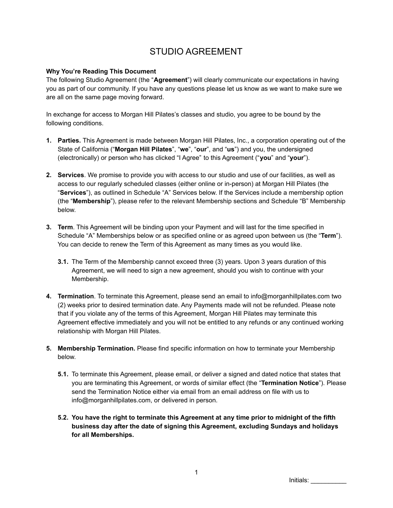# STUDIO AGREEMENT

#### **Why You're Reading This Document**

The following Studio Agreement (the "**Agreement**") will clearly communicate our expectations in having you as part of our community. If you have any questions please let us know as we want to make sure we are all on the same page moving forward.

In exchange for access to Morgan Hill Pilates's classes and studio, you agree to be bound by the following conditions.

- **1. Parties.** This Agreement is made between Morgan Hill Pilates, Inc., a corporation operating out of the State of California ("**Morgan Hill Pilates**", "**we**", "**our**", and "**us**") and you, the undersigned (electronically) or person who has clicked "I Agree" to this Agreement ("**you**" and "**your**").
- **2. Services**. We promise to provide you with access to our studio and use of our facilities, as well as access to our regularly scheduled classes (either online or in-person) at Morgan Hill Pilates (the "**Services**"), as outlined in Schedule "A" Services below. If the Services include a membership option (the "**Membership**"), please refer to the relevant Membership sections and Schedule "B" Membership below.
- **3. Term**. This Agreement will be binding upon your Payment and will last for the time specified in Schedule "A" Memberships below or as specified online or as agreed upon between us (the "**Term**"). You can decide to renew the Term of this Agreement as many times as you would like.
	- **3.1.** The Term of the Membership cannot exceed three (3) years. Upon 3 years duration of this Agreement, we will need to sign a new agreement, should you wish to continue with your Membership.
- **4. Termination**. To terminate this Agreement, please send an email to info@morganhillpilates.com two (2) weeks prior to desired termination date. Any Payments made will not be refunded. Please note that if you violate any of the terms of this Agreement, Morgan Hill Pilates may terminate this Agreement effective immediately and you will not be entitled to any refunds or any continued working relationship with Morgan Hill Pilates.
- **5. Membership Termination.** Please find specific information on how to terminate your Membership below.
	- **5.1.** To terminate this Agreement, please email, or deliver a signed and dated notice that states that you are terminating this Agreement, or words of similar effect (the "**Termination Notice**"). Please send the Termination Notice either via email from an email address on file with us to info@morganhillpilates.com, or delivered in person.
	- **5.2. You have the right to terminate this Agreement at any time prior to midnight of the fifth business day after the date of signing this Agreement, excluding Sundays and holidays for all Memberships.**

Initials: \_\_\_\_\_\_\_\_\_\_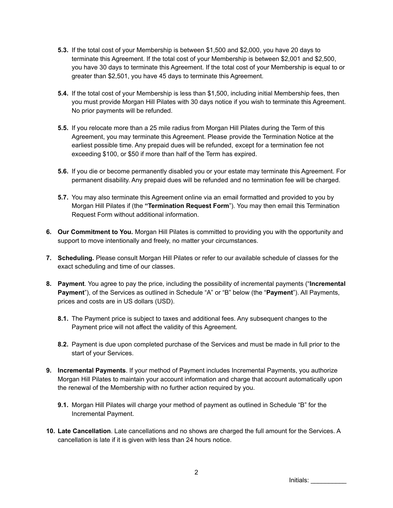- **5.3.** If the total cost of your Membership is between \$1,500 and \$2,000, you have 20 days to terminate this Agreement. If the total cost of your Membership is between \$2,001 and \$2,500, you have 30 days to terminate this Agreement. If the total cost of your Membership is equal to or greater than \$2,501, you have 45 days to terminate this Agreement.
- **5.4.** If the total cost of your Membership is less than \$1,500, including initial Membership fees, then you must provide Morgan Hill Pilates with 30 days notice if you wish to terminate this Agreement. No prior payments will be refunded.
- **5.5.** If you relocate more than a 25 mile radius from Morgan Hill Pilates during the Term of this Agreement, you may terminate this Agreement. Please provide the Termination Notice at the earliest possible time. Any prepaid dues will be refunded, except for a termination fee not exceeding \$100, or \$50 if more than half of the Term has expired.
- **5.6.** If you die or become permanently disabled you or your estate may terminate this Agreement. For permanent disability. Any prepaid dues will be refunded and no termination fee will be charged.
- **5.7.** You may also terminate this Agreement online via an email formatted and provided to you by Morgan Hill Pilates if (the **"Termination Request Form**"). You may then email this Termination Request Form without additional information.
- **6. Our Commitment to You.** Morgan Hill Pilates is committed to providing you with the opportunity and support to move intentionally and freely, no matter your circumstances.
- **7. Scheduling.** Please consult Morgan Hill Pilates or refer to our available schedule of classes for the exact scheduling and time of our classes.
- **8. Payment**. You agree to pay the price, including the possibility of incremental payments ("**Incremental Payment**"), of the Services as outlined in Schedule "A" or "B" below (the "**Payment**"). All Payments, prices and costs are in US dollars (USD).
	- **8.1.** The Payment price is subject to taxes and additional fees. Any subsequent changes to the Payment price will not affect the validity of this Agreement.
	- **8.2.** Payment is due upon completed purchase of the Services and must be made in full prior to the start of your Services.
- **9. Incremental Payments**. If your method of Payment includes Incremental Payments, you authorize Morgan Hill Pilates to maintain your account information and charge that account automatically upon the renewal of the Membership with no further action required by you.
	- **9.1.** Morgan Hill Pilates will charge your method of payment as outlined in Schedule "B" for the Incremental Payment.
- **10. Late Cancellation**. Late cancellations and no shows are charged the full amount for the Services. A cancellation is late if it is given with less than 24 hours notice.

Initials: \_\_\_\_\_\_\_\_\_\_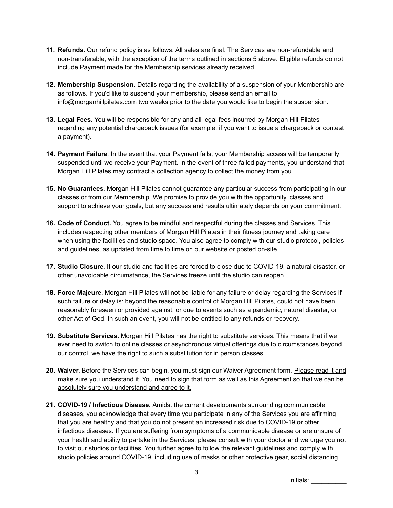- **11. Refunds.** Our refund policy is as follows: All sales are final. The Services are non-refundable and non-transferable, with the exception of the terms outlined in sections 5 above. Eligible refunds do not include Payment made for the Membership services already received.
- **12. Membership Suspension.** Details regarding the availability of a suspension of your Membership are as follows. If you'd like to suspend your membership, please send an email to info@morganhillpilates.com two weeks prior to the date you would like to begin the suspension.
- **13. Legal Fees**. You will be responsible for any and all legal fees incurred by Morgan Hill Pilates regarding any potential chargeback issues (for example, if you want to issue a chargeback or contest a payment).
- **14. Payment Failure**. In the event that your Payment fails, your Membership access will be temporarily suspended until we receive your Payment. In the event of three failed payments, you understand that Morgan Hill Pilates may contract a collection agency to collect the money from you.
- **15. No Guarantees**. Morgan Hill Pilates cannot guarantee any particular success from participating in our classes or from our Membership. We promise to provide you with the opportunity, classes and support to achieve your goals, but any success and results ultimately depends on your commitment.
- **16. Code of Conduct.** You agree to be mindful and respectful during the classes and Services. This includes respecting other members of Morgan Hill Pilates in their fitness journey and taking care when using the facilities and studio space. You also agree to comply with our studio protocol, policies and guidelines, as updated from time to time on our website or posted on-site.
- **17. Studio Closure**. If our studio and facilities are forced to close due to COVID-19, a natural disaster, or other unavoidable circumstance, the Services freeze until the studio can reopen.
- **18. Force Majeure**. Morgan Hill Pilates will not be liable for any failure or delay regarding the Services if such failure or delay is: beyond the reasonable control of Morgan Hill Pilates, could not have been reasonably foreseen or provided against, or due to events such as a pandemic, natural disaster, or other Act of God. In such an event, you will not be entitled to any refunds or recovery.
- **19. Substitute Services.** Morgan Hill Pilates has the right to substitute services. This means that if we ever need to switch to online classes or asynchronous virtual offerings due to circumstances beyond our control, we have the right to such a substitution for in person classes.
- 20. Waiver. Before the Services can begin, you must sign our Waiver Agreement form. Please read it and make sure you understand it. You need to sign that form as well as this Agreement so that we can be absolutely sure you understand and agree to it.
- **21. COVID-19 / Infectious Disease.** Amidst the current developments surrounding communicable diseases, you acknowledge that every time you participate in any of the Services you are affirming that you are healthy and that you do not present an increased risk due to COVID-19 or other infectious diseases. If you are suffering from symptoms of a communicable disease or are unsure of your health and ability to partake in the Services, please consult with your doctor and we urge you not to visit our studios or facilities. You further agree to follow the relevant guidelines and comply with studio policies around COVID-19, including use of masks or other protective gear, social distancing

Initials: \_\_\_\_\_\_\_\_\_\_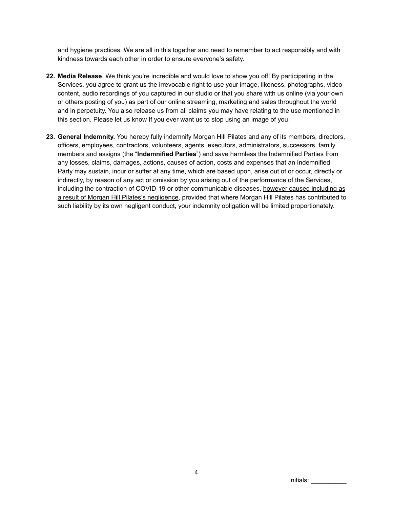and hygiene practices. We are all in this together and need to remember to act responsibly and with kindness towards each other in order to ensure everyone's safety.

- **22. Media Release**. We think you're incredible and would love to show you off! By participating in the Services, you agree to grant us the irrevocable right to use your image, likeness, photographs, video content, audio recordings of you captured in our studio or that you share with us online (via your own or others posting of you) as part of our online streaming, marketing and sales throughout the world and in perpetuity. You also release us from all claims you may have relating to the use mentioned in this section. Please let us know If you ever want us to stop using an image of you.
- **23. General Indemnity.** You hereby fully indemnify Morgan Hill Pilates and any of its members, directors, officers, employees, contractors, volunteers, agents, executors, administrators, successors, family members and assigns (the "**Indemnified Parties**") and save harmless the Indemnified Parties from any losses, claims, damages, actions, causes of action, costs and expenses that an Indemnified Party may sustain, incur or suffer at any time, which are based upon, arise out of or occur, directly or indirectly, by reason of any act or omission by you arising out of the performance of the Services, including the contraction of COVID-19 or other communicable diseases, however caused including as a result of Morgan Hill Pilates's negligence, provided that where Morgan Hill Pilates has contributed to such liability by its own negligent conduct, your indemnity obligation will be limited proportionately.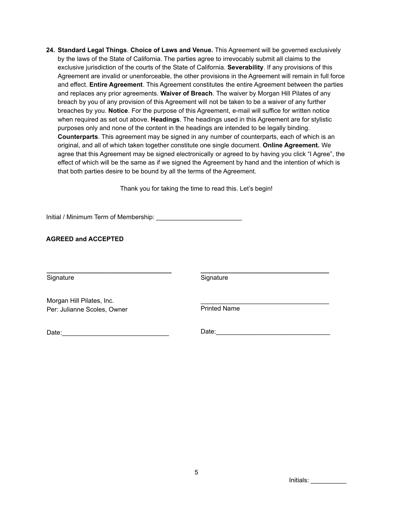**24. Standard Legal Things**. **Choice of Laws and Venue.** This Agreement will be governed exclusively by the laws of the State of California. The parties agree to irrevocably submit all claims to the exclusive jurisdiction of the courts of the State of California. **Severability**. If any provisions of this Agreement are invalid or unenforceable, the other provisions in the Agreement will remain in full force and effect. **Entire Agreement**. This Agreement constitutes the entire Agreement between the parties and replaces any prior agreements. **Waiver of Breach**. The waiver by Morgan Hill Pilates of any breach by you of any provision of this Agreement will not be taken to be a waiver of any further breaches by you. **Notice**. For the purpose of this Agreement, e-mail will suffice for written notice when required as set out above. **Headings**. The headings used in this Agreement are for stylistic purposes only and none of the content in the headings are intended to be legally binding. **Counterparts**. This agreement may be signed in any number of counterparts, each of which is an original, and all of which taken together constitute one single document. **Online Agreement.** We agree that this Agreement may be signed electronically or agreed to by having you click "I Agree", the effect of which will be the same as if we signed the Agreement by hand and the intention of which is that both parties desire to be bound by all the terms of the Agreement.

Thank you for taking the time to read this. Let's begin!

Initial / Minimum Term of Membership: \_\_\_\_\_\_\_\_\_\_\_\_\_\_\_\_\_\_\_\_\_\_\_\_

**AGREED and ACCEPTED**

Signature

**Signature** 

**\_\_\_\_\_\_\_\_\_\_\_\_\_\_\_\_\_\_\_\_\_\_\_\_\_\_\_\_\_\_\_\_\_\_\_\_**

Morgan Hill Pilates, Inc. Per: Julianne Scoles, Owner

 $\mathcal{L}_\text{max}$  , where  $\mathcal{L}_\text{max}$  and  $\mathcal{L}_\text{max}$  and  $\mathcal{L}_\text{max}$ Printed Name

Date:\_\_\_\_\_\_\_\_\_\_\_\_\_\_\_\_\_\_\_\_\_\_\_\_\_\_\_\_\_\_

**\_\_\_\_\_\_\_\_\_\_\_\_\_\_\_\_\_\_\_\_\_\_\_\_\_\_\_\_\_\_\_\_\_\_\_**

Date:\_\_\_\_\_\_\_\_\_\_\_\_\_\_\_\_\_\_\_\_\_\_\_\_\_\_\_\_\_\_\_\_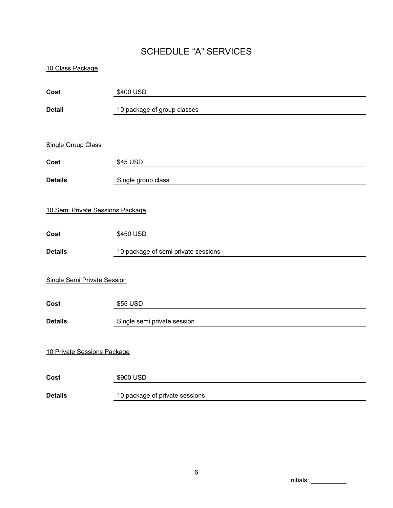# SCHEDULE "A" SERVICES

| 10 Class Package                 |                                     |  |
|----------------------------------|-------------------------------------|--|
| Cost                             | \$400 USD                           |  |
| <b>Detail</b>                    | 10 package of group classes         |  |
|                                  |                                     |  |
| <b>Single Group Class</b>        |                                     |  |
| Cost                             | \$45 USD                            |  |
| <b>Details</b>                   | Single group class                  |  |
|                                  |                                     |  |
| 10 Semi Private Sessions Package |                                     |  |
| Cost                             | \$450 USD                           |  |
| <b>Details</b>                   | 10 package of semi private sessions |  |
| Single Semi Private Session      |                                     |  |
| Cost                             | \$55 USD                            |  |
| <b>Details</b>                   | Single semi private session         |  |
| 10 Private Sessions Package      |                                     |  |
| Cost                             | \$900 USD                           |  |
| <b>Details</b>                   | 10 package of private sessions      |  |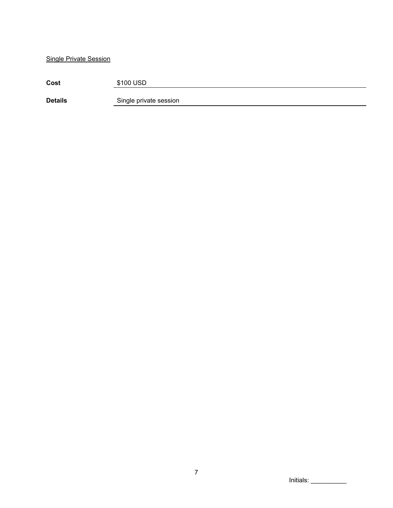Single Private Session

| Cost           | \$100 USD              |
|----------------|------------------------|
| <b>Details</b> | Single private session |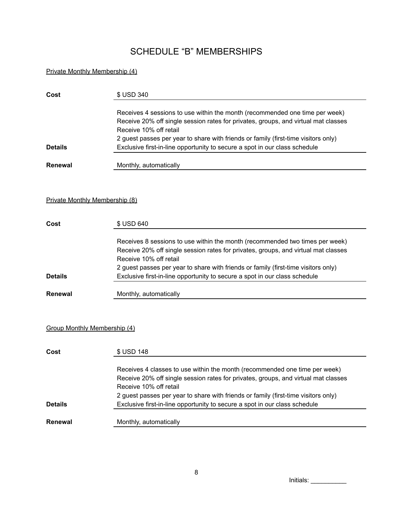# SCHEDULE "B" MEMBERSHIPS

### Private Monthly Membership (4)

| Cost           | \$ USD 340                                                                         |
|----------------|------------------------------------------------------------------------------------|
|                | Receives 4 sessions to use within the month (recommended one time per week)        |
|                | Receive 20% off single session rates for privates, groups, and virtual mat classes |
|                | Receive 10% off retail                                                             |
|                | 2 guest passes per year to share with friends or family (first-time visitors only) |
| <b>Details</b> | Exclusive first-in-line opportunity to secure a spot in our class schedule         |
| <b>Renewal</b> | Monthly, automatically                                                             |

#### Private Monthly Membership (8)

| Cost           | \$ USD 640                                                                         |
|----------------|------------------------------------------------------------------------------------|
|                | Receives 8 sessions to use within the month (recommended two times per week)       |
|                | Receive 20% off single session rates for privates, groups, and virtual mat classes |
|                | Receive 10% off retail                                                             |
|                | 2 guest passes per year to share with friends or family (first-time visitors only) |
| <b>Details</b> | Exclusive first-in-line opportunity to secure a spot in our class schedule         |
|                |                                                                                    |
| <b>Renewal</b> | Monthly, automatically                                                             |

#### Group Monthly Membership (4)

| Cost           | \$ USD 148                                                                         |
|----------------|------------------------------------------------------------------------------------|
|                | Receives 4 classes to use within the month (recommended one time per week)         |
|                | Receive 20% off single session rates for privates, groups, and virtual mat classes |
|                | Receive 10% off retail                                                             |
|                | 2 guest passes per year to share with friends or family (first-time visitors only) |
| <b>Details</b> | Exclusive first-in-line opportunity to secure a spot in our class schedule         |
|                |                                                                                    |
| Renewal        | Monthly, automatically                                                             |